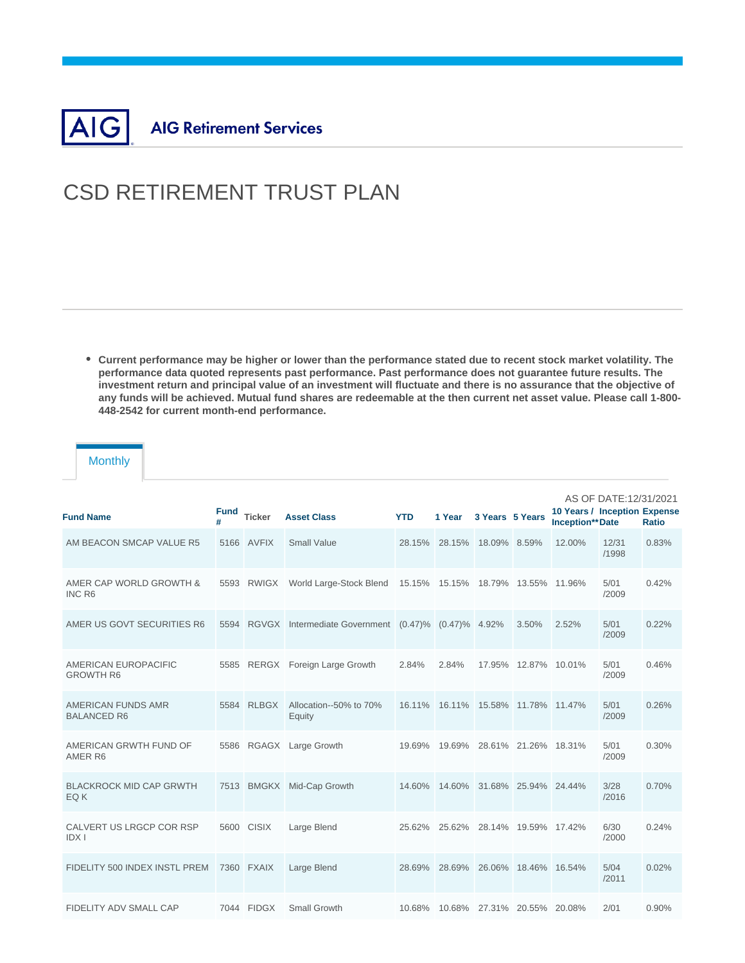

## CSD RETIREMENT TRUST PLAN

**Current performance may be higher or lower than the performance stated due to recent stock market volatility. The performance data quoted represents past performance. Past performance does not guarantee future results. The investment return and principal value of an investment will fluctuate and there is no assurance that the objective of any funds will be achieved. Mutual fund shares are redeemable at the then current net asset value. Please call 1-800- 448-2542 for current month-end performance.**

## **Monthly**

| <b>Fund Name</b>                         | Fund<br># | <b>Ticker</b> | <b>Asset Class</b>                                       | <b>YTD</b> | 1 Year                             | 3 Years 5 Years |                             | 10 Years / Inception Expense<br><b>Inception**Date</b> | AS OF DATE:12/31/2021 | Ratio |
|------------------------------------------|-----------|---------------|----------------------------------------------------------|------------|------------------------------------|-----------------|-----------------------------|--------------------------------------------------------|-----------------------|-------|
| AM BEACON SMCAP VALUE R5                 |           | 5166 AVFIX    | <b>Small Value</b>                                       |            | 28.15% 28.15% 18.09% 8.59%         |                 |                             | 12.00%                                                 | 12/31<br>/1998        | 0.83% |
| AMER CAP WORLD GROWTH &<br>INC R6        | 5593      | <b>RWIGX</b>  | World Large-Stock Blend                                  |            | 15.15% 15.15% 18.79% 13.55% 11.96% |                 |                             |                                                        | 5/01<br>/2009         | 0.42% |
| AMER US GOVT SECURITIES R6               |           |               | 5594 RGVGX Intermediate Government (0.47)% (0.47)% 4.92% |            |                                    |                 | 3.50%                       | 2.52%                                                  | 5/01<br>/2009         | 0.22% |
| AMERICAN EUROPACIFIC<br><b>GROWTH R6</b> |           |               | 5585 RERGX Foreign Large Growth                          | 2.84%      | 2.84%                              |                 | 17.95% 12.87% 10.01%        |                                                        | 5/01<br>/2009         | 0.46% |
| AMERICAN FUNDS AMR<br><b>BALANCED R6</b> |           | 5584 RLBGX    | Allocation--50% to 70%<br>Equity                         | 16.11%     |                                    |                 | 16.11% 15.58% 11.78% 11.47% |                                                        | 5/01<br>/2009         | 0.26% |
| AMERICAN GRWTH FUND OF<br>AMER R6        |           |               | 5586 RGAGX Large Growth                                  |            | 19.69% 19.69% 28.61% 21.26% 18.31% |                 |                             |                                                        | 5/01<br>/2009         | 0.30% |
| <b>BLACKROCK MID CAP GRWTH</b><br>EQ K   |           |               | 7513 BMGKX Mid-Cap Growth                                |            | 14.60% 14.60% 31.68% 25.94% 24.44% |                 |                             |                                                        | 3/28<br>/2016         | 0.70% |
| CALVERT US LRGCP COR RSP<br><b>IDXI</b>  |           | 5600 CISIX    | Large Blend                                              |            | 25.62% 25.62% 28.14% 19.59% 17.42% |                 |                             |                                                        | 6/30<br>/2000         | 0.24% |
| FIDELITY 500 INDEX INSTL PREM            |           | 7360 FXAIX    | Large Blend                                              | 28.69%     |                                    |                 | 28.69% 26.06% 18.46% 16.54% |                                                        | 5/04<br>/2011         | 0.02% |
| <b>FIDELITY ADV SMALL CAP</b>            |           | 7044 FIDGX    | Small Growth                                             | 10.68%     |                                    |                 | 10.68% 27.31% 20.55% 20.08% |                                                        | 2/01                  | 0.90% |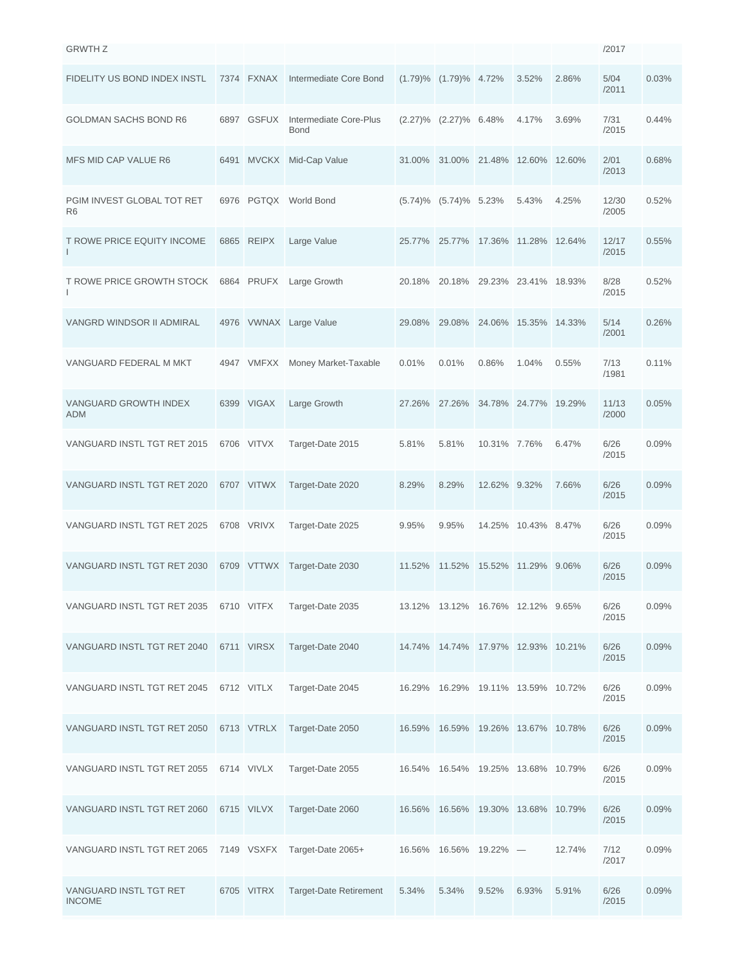| <b>GRWTH Z</b>                               |      |              |                                       |        |                                    |                      |               |        | /2017          |       |
|----------------------------------------------|------|--------------|---------------------------------------|--------|------------------------------------|----------------------|---------------|--------|----------------|-------|
| FIDELITY US BOND INDEX INSTL                 | 7374 | <b>FXNAX</b> | Intermediate Core Bond                |        | $(1.79)\%$ $(1.79)\%$ 4.72%        |                      | 3.52%         | 2.86%  | 5/04<br>/2011  | 0.03% |
| <b>GOLDMAN SACHS BOND R6</b>                 | 6897 | <b>GSFUX</b> | Intermediate Core-Plus<br><b>Bond</b> |        | $(2.27)\%$ $(2.27)\%$ 6.48%        |                      | 4.17%         | 3.69%  | 7/31<br>/2015  | 0.44% |
| MFS MID CAP VALUE R6                         | 6491 | <b>MVCKX</b> | Mid-Cap Value                         |        | 31.00% 31.00% 21.48% 12.60% 12.60% |                      |               |        | 2/01<br>/2013  | 0.68% |
| PGIM INVEST GLOBAL TOT RET<br>R <sub>6</sub> |      | 6976 PGTQX   | World Bond                            |        | $(5.74)\%$ $(5.74)\%$ 5.23%        |                      | 5.43%         | 4.25%  | 12/30<br>/2005 | 0.52% |
| T ROWE PRICE EQUITY INCOME                   | 6865 | <b>REIPX</b> | Large Value                           | 25.77% | 25.77%                             | 17.36% 11.28% 12.64% |               |        | 12/17<br>/2015 | 0.55% |
| <b>T ROWE PRICE GROWTH STOCK</b><br>I        | 6864 | <b>PRUFX</b> | Large Growth                          | 20.18% | 20.18%                             | 29.23% 23.41% 18.93% |               |        | 8/28<br>/2015  | 0.52% |
| VANGRD WINDSOR II ADMIRAL                    | 4976 |              | VWNAX Large Value                     | 29.08% | 29.08%                             |                      | 24.06% 15.35% | 14.33% | 5/14<br>/2001  | 0.26% |
| VANGUARD FEDERAL M MKT                       | 4947 | VMFXX        | Money Market-Taxable                  | 0.01%  | 0.01%                              | 0.86%                | 1.04%         | 0.55%  | 7/13<br>/1981  | 0.11% |
| <b>VANGUARD GROWTH INDEX</b><br><b>ADM</b>   |      | 6399 VIGAX   | Large Growth                          | 27.26% | 27.26% 34.78% 24.77% 19.29%        |                      |               |        | 11/13<br>/2000 | 0.05% |
| VANGUARD INSTL TGT RET 2015                  |      | 6706 VITVX   | Target-Date 2015                      | 5.81%  | 5.81%                              | 10.31% 7.76%         |               | 6.47%  | 6/26<br>/2015  | 0.09% |
| VANGUARD INSTL TGT RET 2020                  |      | 6707 VITWX   | Target-Date 2020                      | 8.29%  | 8.29%                              | 12.62% 9.32%         |               | 7.66%  | 6/26<br>/2015  | 0.09% |
| VANGUARD INSTL TGT RET 2025                  |      | 6708 VRIVX   | Target-Date 2025                      | 9.95%  | 9.95%                              | 14.25%               | 10.43% 8.47%  |        | 6/26<br>/2015  | 0.09% |
| VANGUARD INSTL TGT RET 2030                  |      | 6709 VTTWX   | Target-Date 2030                      | 11.52% | 11.52%                             | 15.52% 11.29% 9.06%  |               |        | 6/26<br>/2015  | 0.09% |
| VANGUARD INSTL TGT RET 2035                  |      | 6710 VITFX   | Target-Date 2035                      |        | 13.12% 13.12% 16.76% 12.12% 9.65%  |                      |               |        | 6/26<br>/2015  | 0.09% |
| VANGUARD INSTL TGT RET 2040                  |      | 6711 VIRSX   | Target-Date 2040                      |        | 14.74% 14.74% 17.97% 12.93% 10.21% |                      |               |        | 6/26<br>/2015  | 0.09% |
| VANGUARD INSTL TGT RET 2045                  |      | 6712 VITLX   | Target-Date 2045                      | 16.29% | 16.29% 19.11% 13.59% 10.72%        |                      |               |        | 6/26<br>/2015  | 0.09% |
| VANGUARD INSTL TGT RET 2050                  |      | 6713 VTRLX   | Target-Date 2050                      | 16.59% | 16.59%                             | 19.26% 13.67% 10.78% |               |        | 6/26<br>/2015  | 0.09% |
| VANGUARD INSTL TGT RET 2055                  |      | 6714 VIVLX   | Target-Date 2055                      | 16.54% | 16.54%                             | 19.25% 13.68% 10.79% |               |        | 6/26<br>/2015  | 0.09% |
| VANGUARD INSTL TGT RET 2060                  |      | 6715 VILVX   | Target-Date 2060                      | 16.56% | 16.56%                             | 19.30% 13.68% 10.79% |               |        | 6/26<br>/2015  | 0.09% |
| VANGUARD INSTL TGT RET 2065                  |      | 7149 VSXFX   | Target-Date 2065+                     | 16.56% | 16.56% 19.22% —                    |                      |               | 12.74% | 7/12<br>/2017  | 0.09% |
| VANGUARD INSTL TGT RET<br><b>INCOME</b>      |      | 6705 VITRX   | <b>Target-Date Retirement</b>         | 5.34%  | 5.34%                              | 9.52%                | 6.93%         | 5.91%  | 6/26<br>/2015  | 0.09% |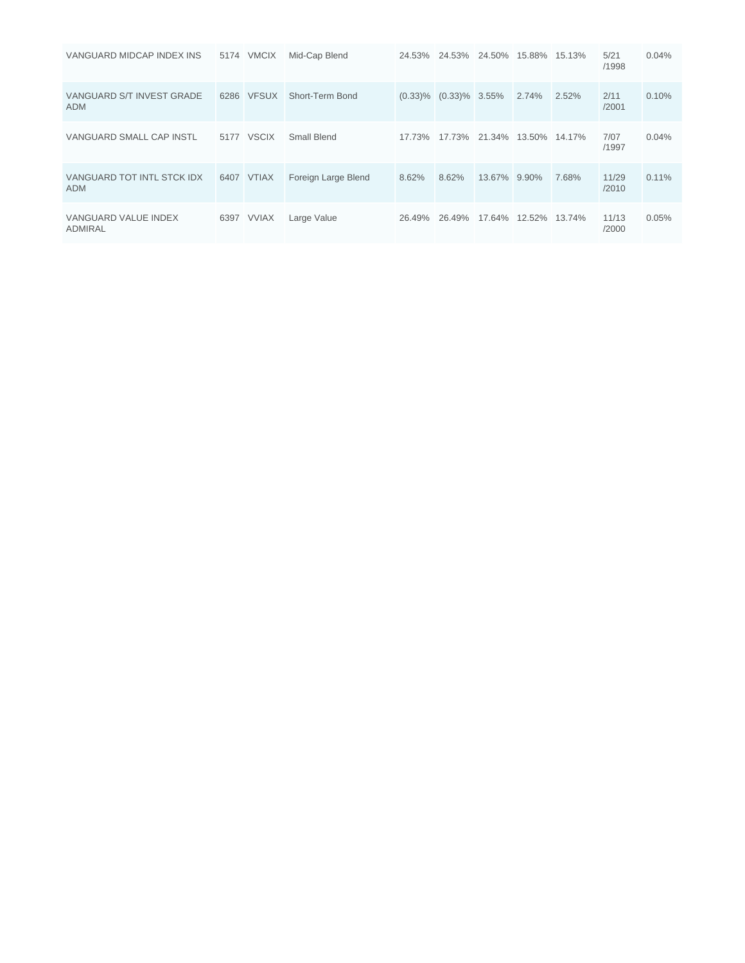| VANGUARD MIDCAP INDEX INS                | 5174 VMCIX | Mid-Cap Blend       |        | 24.53% 24.53% 24.50% 15.88% 15.13% |                      |       |       | 5/21<br>/1998  | 0.04%    |
|------------------------------------------|------------|---------------------|--------|------------------------------------|----------------------|-------|-------|----------------|----------|
| VANGUARD S/T INVEST GRADE<br><b>ADM</b>  | 6286 VFSUX | Short-Term Bond     |        | $(0.33)\%$ $(0.33)\%$ 3.55%        |                      | 2.74% | 2.52% | 2/11<br>/2001  | 0.10%    |
| VANGUARD SMALL CAP INSTL                 | 5177 VSCIX | Small Blend         | 17.73% | 17.73% 21.34% 13.50% 14.17%        |                      |       |       | 7/07<br>/1997  | 0.04%    |
| VANGUARD TOT INTL STCK IDX<br><b>ADM</b> | 6407 VTIAX | Foreign Large Blend | 8.62%  | 8.62%                              | 13.67% 9.90%         |       | 7.68% | 11/29<br>/2010 | $0.11\%$ |
| VANGUARD VALUE INDEX<br><b>ADMIRAL</b>   | 6397 VVIAX | Large Value         | 26.49% | 26.49%                             | 17.64% 12.52% 13.74% |       |       | 11/13<br>/2000 | 0.05%    |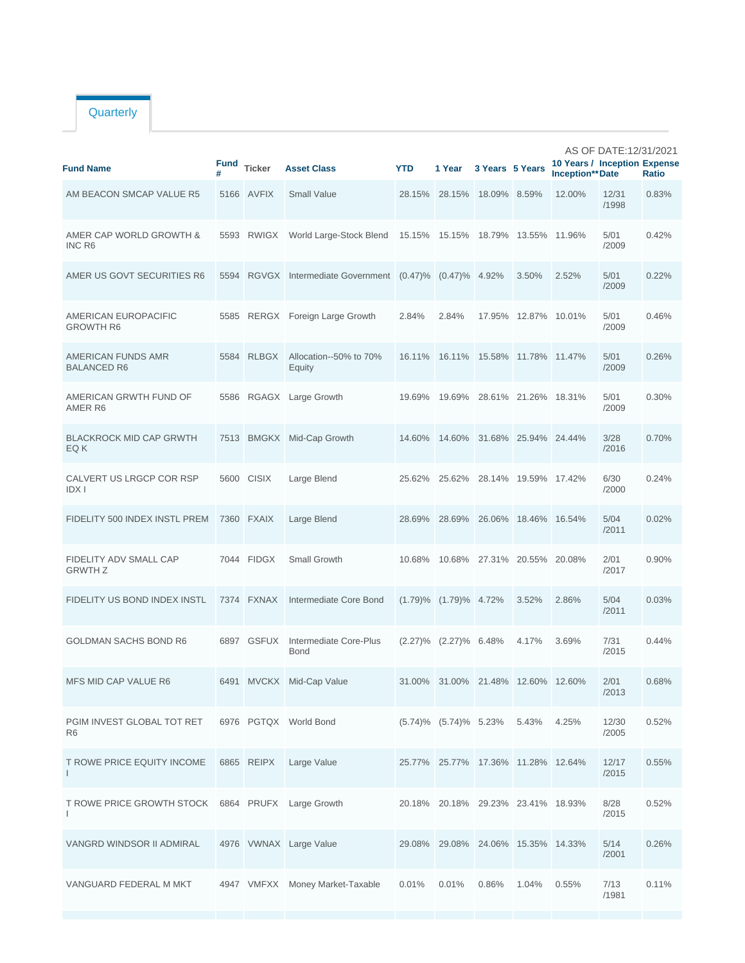## **Quarterly**

| <b>Fund Name</b>                             | <b>Fund</b> | <b>Ticker</b> | <b>Asset Class</b>                                  | <b>YTD</b> | 1 Year                             | 3 Years 5 Years |                             | 10 Years / Inception Expense<br><b>Inception**</b> Date | AS OF DATE:12/31/2021 | Ratio |
|----------------------------------------------|-------------|---------------|-----------------------------------------------------|------------|------------------------------------|-----------------|-----------------------------|---------------------------------------------------------|-----------------------|-------|
| AM BEACON SMCAP VALUE R5                     |             | 5166 AVFIX    | <b>Small Value</b>                                  |            | 28.15% 28.15% 18.09% 8.59%         |                 |                             | 12.00%                                                  | 12/31<br>/1998        | 0.83% |
| AMER CAP WORLD GROWTH &<br>INC R6            | 5593        | RWIGX         | World Large-Stock Blend                             |            | 15.15% 15.15% 18.79%               |                 | 13.55%                      | 11.96%                                                  | 5/01<br>/2009         | 0.42% |
| AMER US GOVT SECURITIES R6                   | 5594        |               | RGVGX Intermediate Government (0.47)% (0.47)% 4.92% |            |                                    |                 | 3.50%                       | 2.52%                                                   | 5/01<br>/2009         | 0.22% |
| AMERICAN EUROPACIFIC<br><b>GROWTH R6</b>     |             |               | 5585 RERGX Foreign Large Growth                     | 2.84%      | 2.84%                              |                 | 17.95% 12.87% 10.01%        |                                                         | 5/01<br>/2009         | 0.46% |
| AMERICAN FUNDS AMR<br><b>BALANCED R6</b>     | 5584        | <b>RLBGX</b>  | Allocation--50% to 70%<br>Equity                    | 16.11%     | 16.11% 15.58% 11.78% 11.47%        |                 |                             |                                                         | 5/01<br>/2009         | 0.26% |
| AMERICAN GRWTH FUND OF<br>AMER R6            | 5586        |               | RGAGX Large Growth                                  | 19.69%     | 19.69%                             |                 | 28.61% 21.26% 18.31%        |                                                         | 5/01<br>/2009         | 0.30% |
| <b>BLACKROCK MID CAP GRWTH</b><br>EQ K       | 7513        |               | <b>BMGKX</b> Mid-Cap Growth                         | 14.60%     |                                    |                 | 14.60% 31.68% 25.94% 24.44% |                                                         | 3/28<br>/2016         | 0.70% |
| CALVERT US LRGCP COR RSP<br><b>IDXI</b>      |             | 5600 CISIX    | Large Blend                                         | 25.62%     | 25.62%                             |                 | 28.14% 19.59% 17.42%        |                                                         | 6/30<br>/2000         | 0.24% |
| FIDELITY 500 INDEX INSTL PREM                |             | 7360 FXAIX    | Large Blend                                         | 28.69%     |                                    |                 | 28.69% 26.06% 18.46% 16.54% |                                                         | 5/04<br>/2011         | 0.02% |
| FIDELITY ADV SMALL CAP<br><b>GRWTH Z</b>     |             | 7044 FIDGX    | Small Growth                                        | 10.68%     |                                    |                 | 10.68% 27.31% 20.55% 20.08% |                                                         | 2/01<br>/2017         | 0.90% |
| FIDELITY US BOND INDEX INSTL                 | 7374        | <b>FXNAX</b>  | Intermediate Core Bond                              |            | $(1.79)\%$ $(1.79)\%$ 4.72%        |                 | 3.52%                       | 2.86%                                                   | 5/04<br>/2011         | 0.03% |
| <b>GOLDMAN SACHS BOND R6</b>                 | 6897        | <b>GSFUX</b>  | Intermediate Core-Plus<br><b>Bond</b>               |            | $(2.27)\%$ $(2.27)\%$ 6.48%        |                 | 4.17%                       | 3.69%                                                   | 7/31<br>/2015         | 0.44% |
| <b>MFS MID CAP VALUE R6</b>                  |             | 6491 MVCKX    | Mid-Cap Value                                       | 31.00%     | 31.00% 21.48% 12.60% 12.60%        |                 |                             |                                                         | 2/01<br>/2013         | 0.68% |
| PGIM INVEST GLOBAL TOT RET<br>R <sub>6</sub> |             |               | 6976 PGTQX World Bond                               |            | $(5.74)\%$ $(5.74)\%$ 5.23%        |                 | 5.43%                       | 4.25%                                                   | 12/30<br>/2005        | 0.52% |
| T ROWE PRICE EQUITY INCOME<br>$\mathsf{I}$   |             | 6865 REIPX    | Large Value                                         |            | 25.77% 25.77% 17.36% 11.28% 12.64% |                 |                             |                                                         | 12/17<br>/2015        | 0.55% |
| T ROWE PRICE GROWTH STOCK<br>$\mathbf{I}$    |             | 6864 PRUFX    | Large Growth                                        |            | 20.18% 20.18% 29.23% 23.41% 18.93% |                 |                             |                                                         | 8/28<br>/2015         | 0.52% |
| VANGRD WINDSOR II ADMIRAL                    |             |               | 4976 VWNAX Large Value                              |            | 29.08% 29.08% 24.06% 15.35% 14.33% |                 |                             |                                                         | 5/14<br>/2001         | 0.26% |
| VANGUARD FEDERAL M MKT                       |             |               | 4947 VMFXX Money Market-Taxable                     | 0.01%      | 0.01%                              | 0.86%           | 1.04%                       | 0.55%                                                   | 7/13<br>/1981         | 0.11% |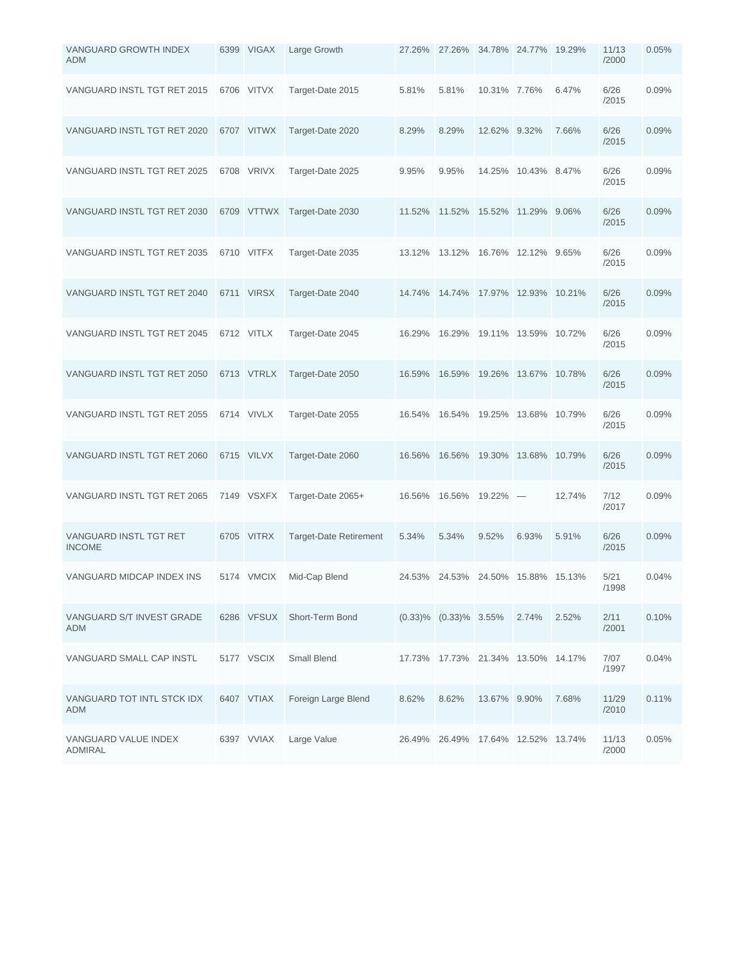| VANGUARD GROWTH INDEX<br><b>ADM</b>      | 6399 VIGAX | Large Growth                  |               | 27.26% 27.26% 34.78% 24.77% 19.29% |                      |                                 |        | 11/13<br>/2000 | 0.05% |
|------------------------------------------|------------|-------------------------------|---------------|------------------------------------|----------------------|---------------------------------|--------|----------------|-------|
| VANGUARD INSTL TGT RET 2015              | 6706 VITVX | Target-Date 2015              | 5.81%         | 5.81%                              | 10.31% 7.76%         |                                 | 6.47%  | 6/26<br>/2015  | 0.09% |
| VANGUARD INSTL TGT RET 2020              | 6707 VITWX | Target-Date 2020              | 8.29%         | 8.29%                              | 12.62% 9.32%         |                                 | 7.66%  | 6/26<br>/2015  | 0.09% |
| VANGUARD INSTL TGT RET 2025              | 6708 VRIVX | Target-Date 2025              | 9.95%         | 9.95%                              |                      | 14.25% 10.43% 8.47%             |        | 6/26<br>/2015  | 0.09% |
| VANGUARD INSTL TGT RET 2030              |            | 6709 VTTWX Target-Date 2030   | 11.52%        | 11.52%                             |                      | 15.52% 11.29% 9.06%             |        | 6/26<br>/2015  | 0.09% |
| VANGUARD INSTL TGT RET 2035              | 6710 VITFX | Target-Date 2035              | 13.12%        | 13.12%                             | 16.76% 12.12% 9.65%  |                                 |        | 6/26<br>/2015  | 0.09% |
| VANGUARD INSTL TGT RET 2040              | 6711 VIRSX | Target-Date 2040              | 14.74% 14.74% |                                    | 17.97% 12.93%        |                                 | 10.21% | 6/26<br>/2015  | 0.09% |
| VANGUARD INSTL TGT RET 2045              | 6712 VITLX | Target-Date 2045              | 16.29%        | 16.29%                             | 19.11% 13.59% 10.72% |                                 |        | 6/26<br>/2015  | 0.09% |
| VANGUARD INSTL TGT RET 2050              | 6713 VTRLX | Target-Date 2050              | 16.59%        | 16.59%                             | 19.26% 13.67% 10.78% |                                 |        | 6/26<br>/2015  | 0.09% |
| VANGUARD INSTL TGT RET 2055              | 6714 VIVLX | Target-Date 2055              | 16.54%        | 16.54%                             | 19.25% 13.68% 10.79% |                                 |        | 6/26<br>/2015  | 0.09% |
| VANGUARD INSTL TGT RET 2060              | 6715 VILVX | Target-Date 2060              | 16.56%        | 16.56%                             | 19.30% 13.68%        |                                 | 10.79% | 6/26<br>/2015  | 0.09% |
| VANGUARD INSTL TGT RET 2065              | 7149 VSXFX | Target-Date 2065+             | 16.56%        | 16.56%                             | 19.22%               | $\hspace{0.1mm}-\hspace{0.1mm}$ | 12.74% | 7/12<br>/2017  | 0.09% |
| VANGUARD INSTL TGT RET<br><b>INCOME</b>  | 6705 VITRX | <b>Target-Date Retirement</b> | 5.34%         | 5.34%                              | 9.52%                | 6.93%                           | 5.91%  | 6/26<br>/2015  | 0.09% |
| VANGUARD MIDCAP INDEX INS                | 5174 VMCIX | Mid-Cap Blend                 |               | 24.53% 24.53% 24.50% 15.88% 15.13% |                      |                                 |        | 5/21<br>/1998  | 0.04% |
| VANGUARD S/T INVEST GRADE<br><b>ADM</b>  |            | 6286 VFSUX Short-Term Bond    |               | $(0.33)\%$ $(0.33)\%$ 3.55%        |                      | 2.74%                           | 2.52%  | 2/11<br>/2001  | 0.10% |
| VANGUARD SMALL CAP INSTL                 | 5177 VSCIX | Small Blend                   |               | 17.73% 17.73% 21.34% 13.50% 14.17% |                      |                                 |        | 7/07<br>/1997  | 0.04% |
| VANGUARD TOT INTL STCK IDX<br><b>ADM</b> | 6407 VTIAX | Foreign Large Blend           | 8.62%         | 8.62%                              | 13.67% 9.90%         |                                 | 7.68%  | 11/29<br>/2010 | 0.11% |
| VANGUARD VALUE INDEX<br>ADMIRAL          | 6397 VVIAX | Large Value                   | 26.49%        | 26.49%                             | 17.64% 12.52% 13.74% |                                 |        | 11/13<br>/2000 | 0.05% |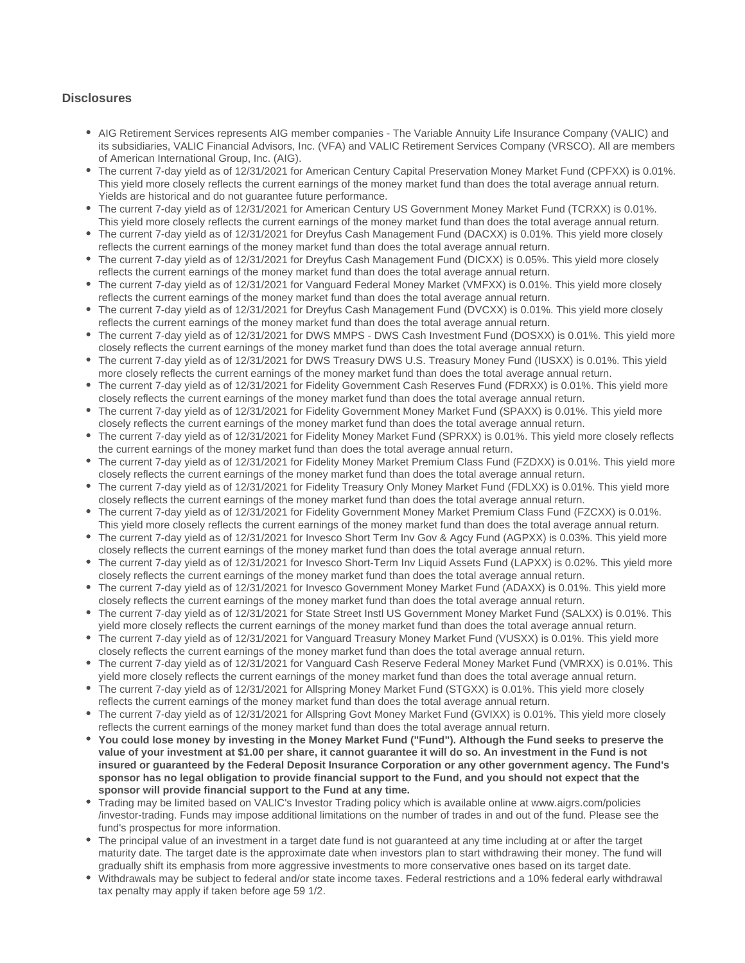## **Disclosures**

- AIG Retirement Services represents AIG member companies The Variable Annuity Life Insurance Company (VALIC) and its subsidiaries, VALIC Financial Advisors, Inc. (VFA) and VALIC Retirement Services Company (VRSCO). All are members of American International Group, Inc. (AIG).
- The current 7-day yield as of 12/31/2021 for American Century Capital Preservation Money Market Fund (CPFXX) is 0.01%. This yield more closely reflects the current earnings of the money market fund than does the total average annual return. Yields are historical and do not guarantee future performance.
- The current 7-day yield as of 12/31/2021 for American Century US Government Money Market Fund (TCRXX) is 0.01%. This yield more closely reflects the current earnings of the money market fund than does the total average annual return.
- The current 7-day yield as of 12/31/2021 for Dreyfus Cash Management Fund (DACXX) is 0.01%. This yield more closely reflects the current earnings of the money market fund than does the total average annual return.
- The current 7-day yield as of 12/31/2021 for Dreyfus Cash Management Fund (DICXX) is 0.05%. This yield more closely reflects the current earnings of the money market fund than does the total average annual return.
- The current 7-day yield as of 12/31/2021 for Vanguard Federal Money Market (VMFXX) is 0.01%. This yield more closely reflects the current earnings of the money market fund than does the total average annual return.
- The current 7-day yield as of 12/31/2021 for Dreyfus Cash Management Fund (DVCXX) is 0.01%. This yield more closely reflects the current earnings of the money market fund than does the total average annual return.
- The current 7-day yield as of 12/31/2021 for DWS MMPS DWS Cash Investment Fund (DOSXX) is 0.01%. This yield more closely reflects the current earnings of the money market fund than does the total average annual return.
- The current 7-day yield as of 12/31/2021 for DWS Treasury DWS U.S. Treasury Money Fund (IUSXX) is 0.01%. This yield more closely reflects the current earnings of the money market fund than does the total average annual return.
- The current 7-day yield as of 12/31/2021 for Fidelity Government Cash Reserves Fund (FDRXX) is 0.01%. This yield more closely reflects the current earnings of the money market fund than does the total average annual return.
- The current 7-day yield as of 12/31/2021 for Fidelity Government Money Market Fund (SPAXX) is 0.01%. This yield more closely reflects the current earnings of the money market fund than does the total average annual return.
- The current 7-day yield as of 12/31/2021 for Fidelity Money Market Fund (SPRXX) is 0.01%. This yield more closely reflects the current earnings of the money market fund than does the total average annual return.
- The current 7-day yield as of 12/31/2021 for Fidelity Money Market Premium Class Fund (FZDXX) is 0.01%. This yield more closely reflects the current earnings of the money market fund than does the total average annual return.
- The current 7-day yield as of 12/31/2021 for Fidelity Treasury Only Money Market Fund (FDLXX) is 0.01%. This yield more closely reflects the current earnings of the money market fund than does the total average annual return.
- The current 7-day yield as of 12/31/2021 for Fidelity Government Money Market Premium Class Fund (FZCXX) is 0.01%. This yield more closely reflects the current earnings of the money market fund than does the total average annual return.
- The current 7-day yield as of 12/31/2021 for Invesco Short Term Inv Gov & Agcy Fund (AGPXX) is 0.03%. This yield more closely reflects the current earnings of the money market fund than does the total average annual return.
- The current 7-day yield as of 12/31/2021 for Invesco Short-Term Inv Liquid Assets Fund (LAPXX) is 0.02%. This yield more closely reflects the current earnings of the money market fund than does the total average annual return.
- The current 7-day yield as of 12/31/2021 for Invesco Government Money Market Fund (ADAXX) is 0.01%. This yield more closely reflects the current earnings of the money market fund than does the total average annual return.
- The current 7-day yield as of 12/31/2021 for State Street Instl US Government Money Market Fund (SALXX) is 0.01%. This yield more closely reflects the current earnings of the money market fund than does the total average annual return.
- The current 7-day yield as of 12/31/2021 for Vanguard Treasury Money Market Fund (VUSXX) is 0.01%. This yield more closely reflects the current earnings of the money market fund than does the total average annual return.
- The current 7-day yield as of 12/31/2021 for Vanguard Cash Reserve Federal Money Market Fund (VMRXX) is 0.01%. This yield more closely reflects the current earnings of the money market fund than does the total average annual return.
- The current 7-day yield as of 12/31/2021 for Allspring Money Market Fund (STGXX) is 0.01%. This yield more closely reflects the current earnings of the money market fund than does the total average annual return.
- The current 7-day yield as of 12/31/2021 for Allspring Govt Money Market Fund (GVIXX) is 0.01%. This yield more closely reflects the current earnings of the money market fund than does the total average annual return.
- **You could lose money by investing in the Money Market Fund ("Fund"). Although the Fund seeks to preserve the value of your investment at \$1.00 per share, it cannot guarantee it will do so. An investment in the Fund is not insured or guaranteed by the Federal Deposit Insurance Corporation or any other government agency. The Fund's sponsor has no legal obligation to provide financial support to the Fund, and you should not expect that the sponsor will provide financial support to the Fund at any time.**
- Trading may be limited based on VALIC's Investor Trading policy which is available online at www.aigrs.com/policies /investor-trading. Funds may impose additional limitations on the number of trades in and out of the fund. Please see the fund's prospectus for more information.
- The principal value of an investment in a target date fund is not guaranteed at any time including at or after the target maturity date. The target date is the approximate date when investors plan to start withdrawing their money. The fund will gradually shift its emphasis from more aggressive investments to more conservative ones based on its target date.
- Withdrawals may be subject to federal and/or state income taxes. Federal restrictions and a 10% federal early withdrawal tax penalty may apply if taken before age 59 1/2.